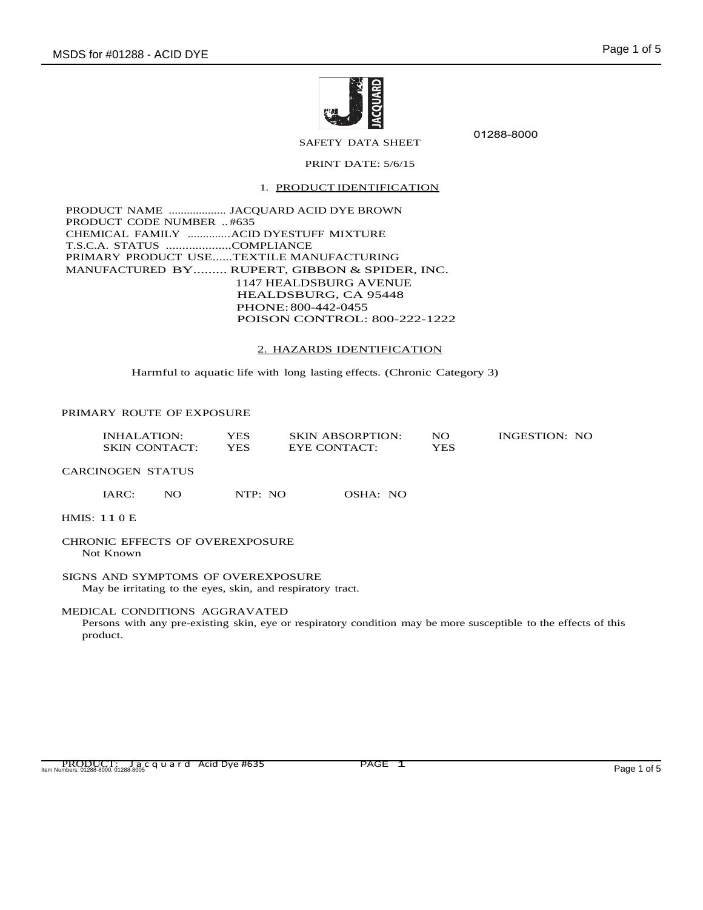

01288-8000

# SAFETY DATA SHEET PRINT DATE: 5/6/15

## 1. PRODUCT IDENTIFICATION

PRODUCT NAME ................... JACQUARD ACID DYE BROWN PRODUCT CODE NUMBER .. #635 CHEMICAL FAMILY ..............ACID DYESTUFF MIXTURE T.S.C.A. STATUS ....................COMPLIANCE PRIMARY PRODUCT USE......TEXTILE MANUFACTURING MANUFACTURED BY......... RUPERT, GIBBON & SPIDER, INC. 1147 HEALDSBURG AVENUE HEALDSBURG, CA 95448 PHONE:800-442-0455 POISON CONTROL: 800-222-1222

#### 2. HAZARDS IDENTIFICATION

Harmful to aquatic life with long lasting effects. (Chronic Category 3)

## PRIMARY ROUTE OF EXPOSURE

| INHALATION:          | YES  | <b>SKIN ABSORPTION:</b> | NO  | INGESTION: NO |
|----------------------|------|-------------------------|-----|---------------|
| <b>SKIN CONTACT:</b> | YES. | EYE CONTACT:            | YES |               |

CARCINOGEN STATUS

IARC: NO NTP: NO OSHA: NO

HMIS: 11 0 E

#### CHRONIC EFFECTS OF OVEREXPOSURE Not Known

SIGNS AND SYMPTOMS OF OVEREXPOSURE May be irritating to the eyes, skin, and respiratory tract.

#### MEDICAL CONDITIONS AGGRAVATED

Persons with any pre-existing skin, eye or respiratory condition may be more susceptible to the effects of this product.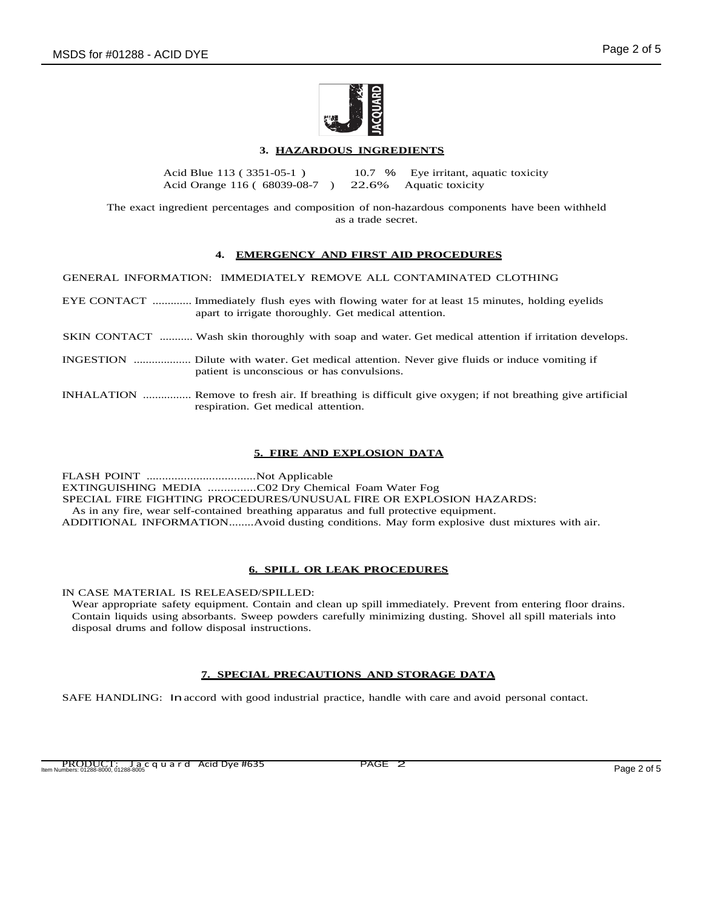

# **3. HAZARDOUS INGREDIENTS**

Acid Blue 113 ( 3351-05-1 ) Acid Orange 116 ( 68039-08-7 ) 10.7 % 22.6% Eye irritant, aquatic toxicity Aquatic toxicity

The exact ingredient percentages and composition of non-hazardous components have been withheld as a trade secret.

## **4. EMERGENCY AND FIRST AID PROCEDURES**

GENERAL INFORMATION: IMMEDIATELY REMOVE ALL CONTAMINATED CLOTHING

- EYE CONTACT ............. Immediately flush eyes with flowing water for at least 15 minutes, holding eyelids apart to irrigate thoroughly. Get medical attention.
- SKIN CONTACT ........... Wash skin thoroughly with soap and water. Get medical attention if irritation develops.
- INGESTION ................... Dilute with water. Get medical attention. Never give fluids or induce vomiting if patient is unconscious or has convulsions.
- INHALATION ................ Remove to fresh air. If breathing is difficult give oxygen; if not breathing give artificial respiration. Get medical attention.

# **5. FIRE AND EXPLOSION DATA**

FLASH POINT ...................................Not Applicable EXTINGUISHING MEDIA ...............C02 Dry Chemical Foam Water Fog SPECIAL FIRE FIGHTING PROCEDURES/UNUSUAL FIRE OR EXPLOSION HAZARDS: As in any fire, wear self-contained breathing apparatus and full protective equipment. ADDITIONAL INFORMATION........Avoid dusting conditions. May form explosive dust mixtures with air.

## **6. SPILL OR LEAK PROCEDURES**

IN CASE MATERIAL IS RELEASED/SPILLED:

Wear appropriate safety equipment. Contain and clean up spill immediately. Prevent from entering floor drains. Contain liquids using absorbants. Sweep powders carefully minimizing dusting. Shovel all spill materials into disposal drums and follow disposal instructions.

## **7. SPECIAL PRECAUTIONS AND STORAGE DATA**

SAFE HANDLING: In accord with good industrial practice, handle with care and avoid personal contact.

PRODUCT: Jacquard Acid Dye #635 PAGE 2 Item Numbers: 01288-8000, 01288-8005 Page 2 of 5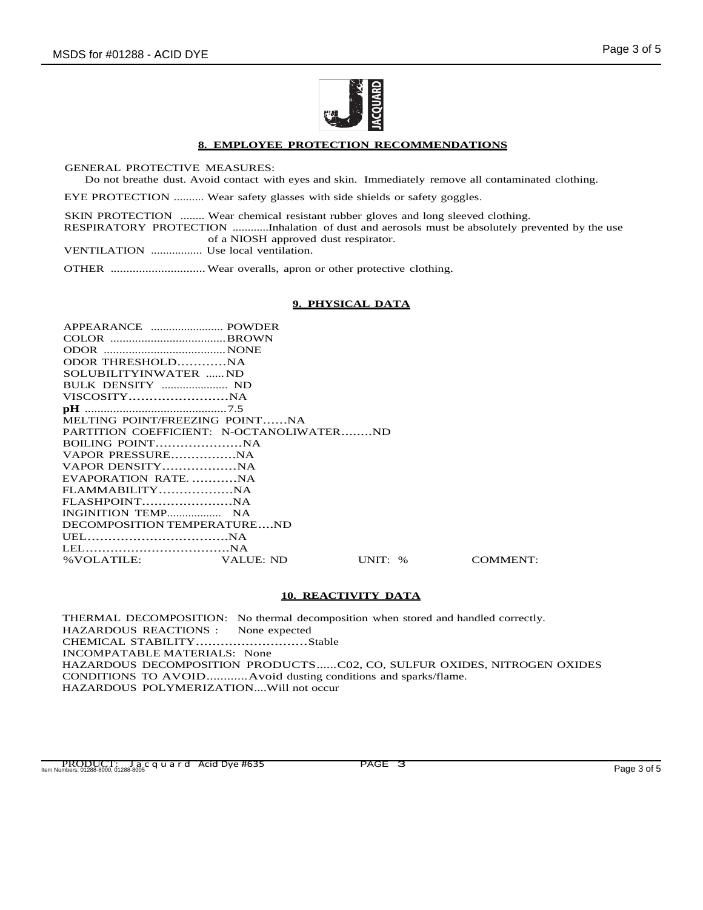

## **8. EMPLOYEE PROTECTION RECOMMENDATIONS**

GENERAL PROTECTIVE MEASURES:

Do not breathe dust. Avoid contact with eyes and skin. Immediately remove all contaminated clothing.

EYE PROTECTION .......... Wear safety glasses with side shields or safety goggles.

SKIN PROTECTION ........ Wear chemical resistant rubber gloves and long sleeved clothing. RESPIRATORY PROTECTION ............Inhalation of dust and aerosols must be absolutely prevented by the use of a NIOSH approved dust respirator.

VENTILATION ................. Use local ventilation.

OTHER .............................. Wear overalls, apron or other protective clothing.

## **9. PHYSICAL DATA**

| ODOR THRESHOLDNA               |         |                                          |
|--------------------------------|---------|------------------------------------------|
| SOLUBILITYINWATER ND           |         |                                          |
|                                |         |                                          |
|                                |         |                                          |
|                                |         |                                          |
| MELTING POINT/FREEZING POINTNA |         |                                          |
|                                |         |                                          |
|                                |         |                                          |
|                                |         |                                          |
|                                |         |                                          |
| EVAPORATION RATENA             |         |                                          |
|                                |         |                                          |
|                                |         |                                          |
|                                |         |                                          |
| DECOMPOSITION TEMPERATUREND    |         |                                          |
|                                |         |                                          |
|                                |         |                                          |
| % VOLATILE: VALUE: ND          | UNIT: % | <b>COMMENT:</b>                          |
|                                |         | PARTITION COEFFICIENT: N-OCTANOLIWATERND |

## **10. REACTIVITY DATA**

THERMAL DECOMPOSITION: No thermal decomposition when stored and handled correctly. HAZARDOUS REACTIONS : None expected CHEMICAL STABILITY...........................Stable INCOMPATABLE MATERIALS: None HAZARDOUS DECOMPOSITION PRODUCTS......C02, CO, SULFUR OXIDES, NITROGEN OXIDES CONDITIONS TO AVOID............Avoid dusting conditions and sparks/flame. HAZARDOUS POLYMERIZATION....Will not occur

PRODUCT: Jacquard Acid Dye #635 PAGE 3 Item Numbers: 01288-8000, 01288-8005 Page 3 of 5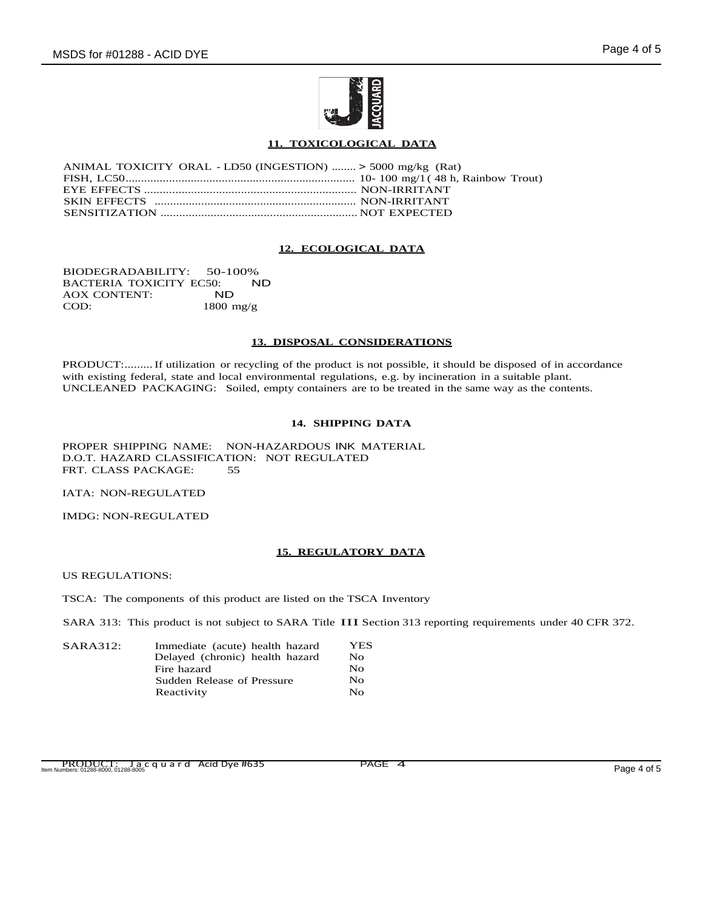

## **11. TOXICOLOGICAL DATA**

| ANIMAL TOXICITY ORAL - LD50 (INGESTION)  > 5000 mg/kg (Rat) |  |
|-------------------------------------------------------------|--|
|                                                             |  |
|                                                             |  |
|                                                             |  |
|                                                             |  |

## **12. ECOLOGICAL DATA**

BIODEGRADABILITY: 50-100%<br>BACTERIA TOXICITY EC50: ND BACTERIA TOXICITY EC50:<br>AOX CONTENT: ND AOX CONTENT:<br>COD: 1800 mg/g

#### **13. DISPOSAL CONSIDERATIONS**

PRODUCT:.........If utilization or recycling of the product is not possible, it should be disposed of in accordance with existing federal, state and local environmental regulations, e.g. by incineration in a suitable plant. UNCLEANED PACKAGING: Soiled, empty containers are to be treated in the same way as the contents.

## **14. SHIPPING DATA**

PROPER SHIPPING NAME: NON-HAZARDOUS INK MATERIAL D.O.T. HAZARD CLASSIFICATION: NOT REGULATED FRT. CLASS PACKAGE: 55

IATA: NON-REGULATED

IMDG: NON-REGULATED

## **15. REGULATORY DATA**

US REGULATIONS:

TSCA: The components of this product are listed on the TSCA Inventory

SARA 313: This product is not subject to SARA Title III Section <sup>313</sup> reporting requirements under <sup>40</sup> CFR 372.

| SARA312: | Immediate (acute) health hazard | <b>YES</b>   |
|----------|---------------------------------|--------------|
|          | Delayed (chronic) health hazard | No.          |
|          | Fire hazard                     | $N_{\Omega}$ |
|          | Sudden Release of Pressure      | No           |
|          | Reactivity                      | $N_{\Omega}$ |

PRODUCT: Jacquard Acid Dye #635 PAGE 4<br>Item Numbers: 01288-8000, 01288-8005 Page 4 of 5